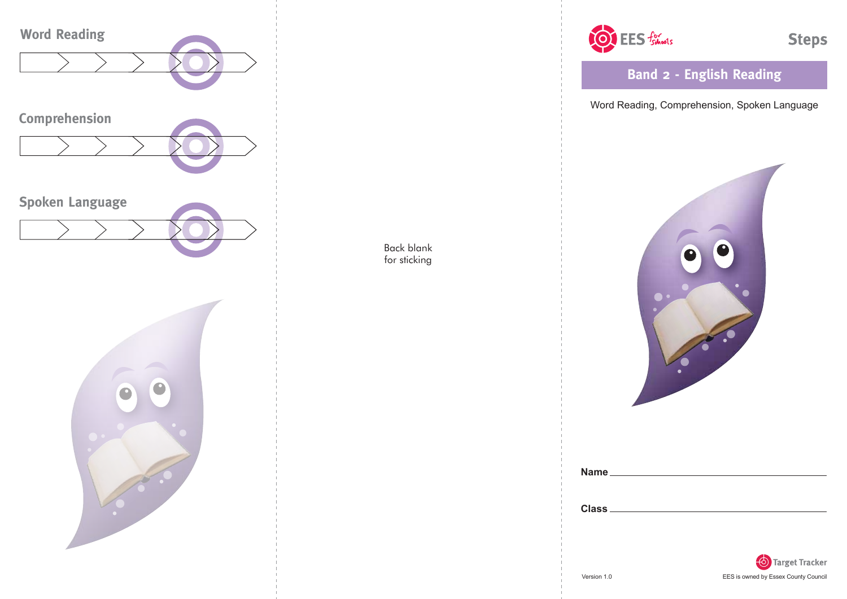

OF EES foliosis

**Steps** 

**Band 2 - English Reading**

Word Reading, Comprehension, Spoken Language



| <b>Name</b>  |  |  |  |
|--------------|--|--|--|
|              |  |  |  |
| <b>Class</b> |  |  |  |
|              |  |  |  |

Back blank for sticking